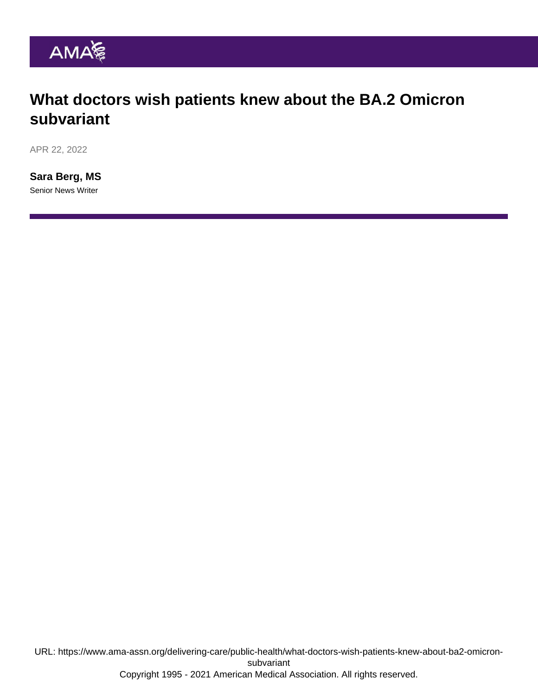## What doctors wish patients knew about the BA.2 Omicron subvariant

APR 22, 2022

[Sara Berg, MS](https://www.ama-assn.org/news-leadership-viewpoints/authors-news-leadership-viewpoints/sara-berg-ms) Senior News Writer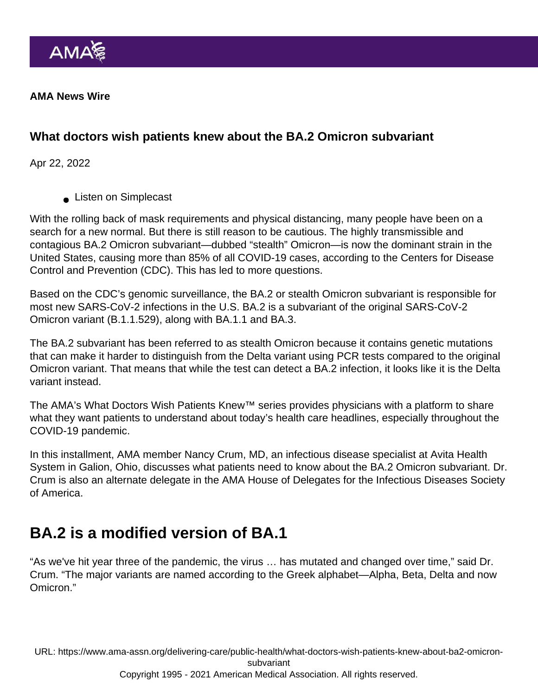AMA News Wire

What doctors wish patients knew about the BA.2 Omicron subvariant

Apr 22, 2022

**Listen on Simplecast** 

With the rolling back of mask requirements and physical distancing, many people have been on a [search for a new normal.](https://www.ama-assn.org/delivering-care/public-health/amid-search-new-normal-questions-linger-about-covid-19) But there is still reason to be cautious. The highly transmissible and contagious BA.2 Omicron subvariant—dubbed "stealth" Omicron—is now the dominant strain in the United States, causing more than 85% of all COVID-19 cases, according to the Centers for Disease Control and Prevention (CDC). This has led to more questions.

Based on the CDC's genomic surveillance, [the BA.2 or stealth Omicron subvariant](https://www.ama-assn.org/delivering-care/public-health/what-ba2-or-stealth-omicron-subvariant) is responsible for most new SARS-CoV-2 infections in the U.S. BA.2 is a subvariant of the original [SARS-CoV-2](https://www.ama-assn.org/delivering-care/public-health/what-patients-may-ask-about-covid-19-omicron-variant) [Omicron variant](https://www.ama-assn.org/delivering-care/public-health/what-patients-may-ask-about-covid-19-omicron-variant) (B.1.1.529), along with BA.1.1 and BA.3.

The BA.2 subvariant has been referred to as stealth Omicron because it contains genetic mutations that can make it harder to distinguish from the Delta variant using PCR tests compared to the original Omicron variant. That means that while the test can detect a BA.2 infection, it looks like it is the [Delta](https://www.ama-assn.org/delivering-care/public-health/what-doctors-wish-patients-knew-about-dangerous-delta-variant) [variant](https://www.ama-assn.org/delivering-care/public-health/what-doctors-wish-patients-knew-about-dangerous-delta-variant) instead.

The AMA's [What Doctors Wish Patients Knew™](https://www.ama-assn.org/series/what-doctors-wish-patients-knew) series provides physicians with a platform to share what they want patients to understand about today's health care headlines, especially throughout the COVID-19 pandemic.

In this installment, AMA member Nancy Crum, MD, an infectious disease specialist at Avita Health System in Galion, Ohio, discusses what patients need to know about the BA.2 Omicron subvariant. Dr. Crum is also an alternate delegate in the [AMA House of Delegates](https://www.ama-assn.org/house-delegates) for the Infectious Diseases Society of America.

# BA.2 is a modified version of BA.1

"As we've hit year three of the pandemic, the virus … has mutated and changed over time," said Dr. Crum. "The major variants are named according to the Greek alphabet—Alpha, Beta, Delta and now Omicron."

URL: [https://www.ama-assn.org/delivering-care/public-health/what-doctors-wish-patients-knew-about-ba2-omicron](https://www.ama-assn.org/delivering-care/public-health/what-doctors-wish-patients-knew-about-ba2-omicron-subvariant)[subvariant](https://www.ama-assn.org/delivering-care/public-health/what-doctors-wish-patients-knew-about-ba2-omicron-subvariant)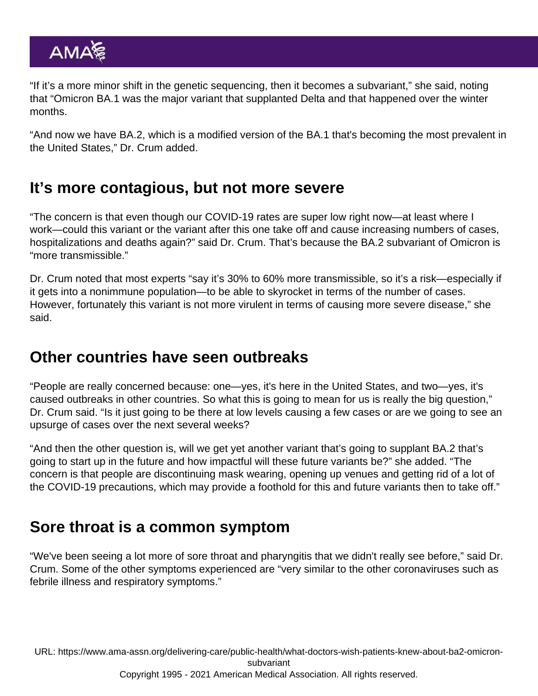"If it's a more minor shift in the genetic sequencing, then it becomes a subvariant," she said, noting that "Omicron BA.1 was the major variant that supplanted Delta and that happened over the winter months.

"And now we have BA.2, which is a modified version of the BA.1 that's becoming the most prevalent in the United States," Dr. Crum added.

#### It's more contagious, but not more severe

"The concern is that even though our COVID-19 rates are super low right now—at least where I work—could this variant or the variant after this one take off and cause increasing numbers of cases, hospitalizations and deaths again?" said Dr. Crum. That's because the BA.2 subvariant of Omicron is "more transmissible."

Dr. Crum noted that most experts "say it's 30% to 60% more transmissible, so it's a risk—especially if it gets into a nonimmune population—to be able to skyrocket in terms of the number of cases. However, fortunately this variant is not more virulent in terms of causing more severe disease," she said.

## Other countries have seen outbreaks

"People are really concerned because: one—yes, it's here in the United States, and two—yes, it's caused outbreaks in other countries. So what this is going to mean for us is really the big question," Dr. Crum said. "Is it just going to be there at low levels causing a few cases or are we going to see an upsurge of cases over the next several weeks?

"And then the other question is, will we get yet another variant that's going to supplant BA.2 that's going to start up in the future and how impactful will these future variants be?" she added. "The concern is that people are discontinuing mask wearing, opening up venues and getting rid of a lot of the COVID-19 precautions, which may provide a foothold for this and future variants then to take off."

## Sore throat is a common symptom

"We've been seeing a lot more of sore throat and pharyngitis that we didn't really see before," said Dr. Crum. Some of the other symptoms experienced are "very similar to the other coronaviruses such as febrile illness and respiratory symptoms."

URL: [https://www.ama-assn.org/delivering-care/public-health/what-doctors-wish-patients-knew-about-ba2-omicron](https://www.ama-assn.org/delivering-care/public-health/what-doctors-wish-patients-knew-about-ba2-omicron-subvariant)[subvariant](https://www.ama-assn.org/delivering-care/public-health/what-doctors-wish-patients-knew-about-ba2-omicron-subvariant)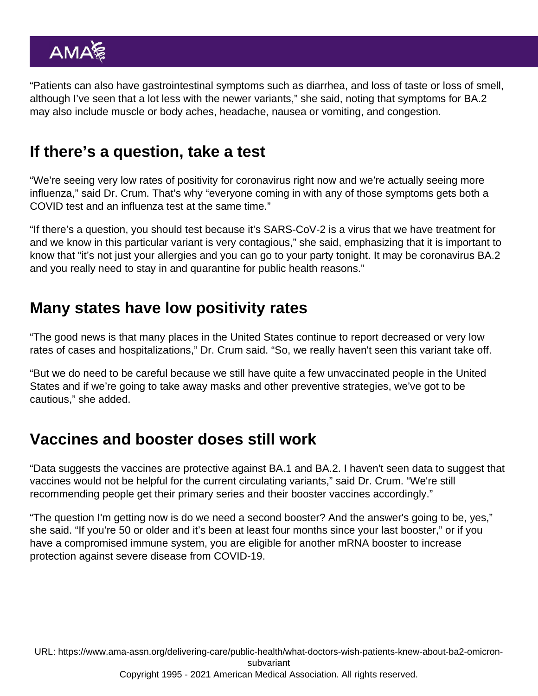"Patients can also have gastrointestinal symptoms such as diarrhea, and loss of taste or loss of smell, although I've seen that a lot less with the newer variants," she said, noting that symptoms for BA.2 may also include muscle or body aches, headache, nausea or vomiting, and congestion.

### If there's a question, take a test

"We're seeing very low rates of positivity for coronavirus right now and we're actually seeing more influenza," said Dr. Crum. That's why "everyone coming in with any of those symptoms gets both a COVID test and an influenza test at the same time."

"If there's a question, you should test because it's SARS-CoV-2 is a virus that we have treatment for and we know in this particular variant is very contagious," she said, emphasizing that it is important to know that "it's not just your allergies and you can go to your party tonight. It may be coronavirus BA.2 and you really need to stay in and quarantine for public health reasons."

#### Many states have low positivity rates

"The good news is that many places in the United States continue to report decreased or very low rates of cases and hospitalizations," Dr. Crum said. "So, we really haven't seen this variant take off.

"But we do need to be careful because we still have quite a few unvaccinated people in the United States and if we're going to take away masks and other preventive strategies, we've got to be cautious," she added.

## Vaccines and booster doses still work

"Data suggests the vaccines are protective against BA.1 and BA.2. I haven't seen data to suggest that vaccines would not be helpful for the current circulating variants," said Dr. Crum. "We're still recommending people get their primary series and their [booster vaccines](https://www.ama-assn.org/delivering-care/public-health/what-doctors-wish-patients-knew-about-covid-19-vaccine-boosters) accordingly."

"The question I'm getting now is do we need a second booster? And the answer's going to be, yes," she said. "If you're 50 or older and it's been at least four months since your last booster," or if you have a compromised immune system, you are eligible for another mRNA booster to increase protection against severe disease from COVID-19.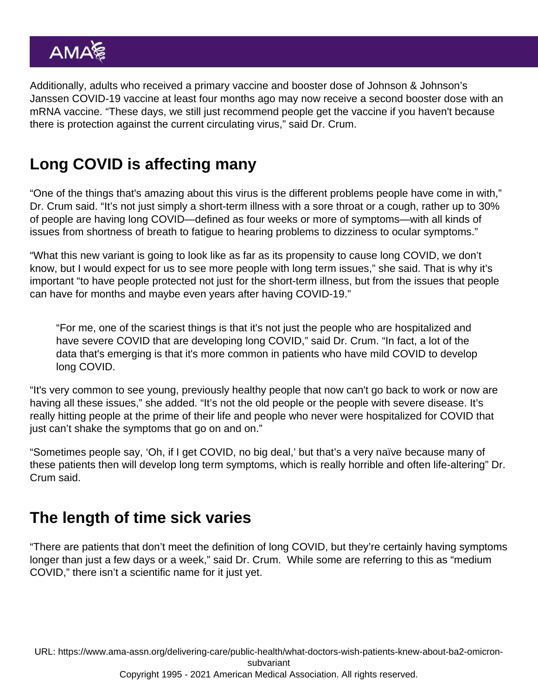Additionally, adults who received a primary vaccine and booster dose of Johnson & Johnson's Janssen COVID-19 vaccine at least four months ago may now receive a second booster dose with an mRNA vaccine. "These days, we still just recommend people get the vaccine if you haven't because there is protection against the current circulating virus," said Dr. Crum.

## Long COVID is affecting many

"One of the things that's amazing about this virus is the different problems people have come in with," Dr. Crum said. "It's not just simply a short-term illness with a sore throat or a cough, rather up to 30% of people are having long COVID—defined as four weeks or more of symptoms—with all kinds of issues from shortness of breath to fatigue to hearing problems to dizziness to ocular symptoms."

"What this new variant is going to look like as far as its propensity to cause [long COVID,](https://www.ama-assn.org/delivering-care/public-health/what-doctors-wish-patients-knew-about-long-covid) we don't know, but I would expect for us to see more people with long term issues," she said. That is why it's important "to have people protected not just for the short-term illness, but from the issues that people can have for months and maybe even years after having COVID-19."

"For me, one of the scariest things is that it's not just the people who are hospitalized and have severe COVID that are developing long COVID," said Dr. Crum. "In fact, a lot of the data that's emerging is that it's more common in patients who have mild COVID to develop long COVID.

"It's very common to see young, previously healthy people that now can't go back to work or now are having all these issues," she added. "It's not the old people or the people with severe disease. It's really hitting people at the prime of their life and people who never were hospitalized for COVID that just can't shake the symptoms that go on and on."

"Sometimes people say, 'Oh, if I get COVID, no big deal,' but that's a very naïve because many of these patients then will develop long term symptoms, which is really horrible and often life-altering" Dr. Crum said.

## The length of time sick varies

"There are patients that don't meet the definition of long COVID, but they're certainly having symptoms longer than just a few days or a week," said Dr. Crum. While some are referring to this as "medium COVID," there isn't a scientific name for it just yet.

URL: [https://www.ama-assn.org/delivering-care/public-health/what-doctors-wish-patients-knew-about-ba2-omicron](https://www.ama-assn.org/delivering-care/public-health/what-doctors-wish-patients-knew-about-ba2-omicron-subvariant)[subvariant](https://www.ama-assn.org/delivering-care/public-health/what-doctors-wish-patients-knew-about-ba2-omicron-subvariant)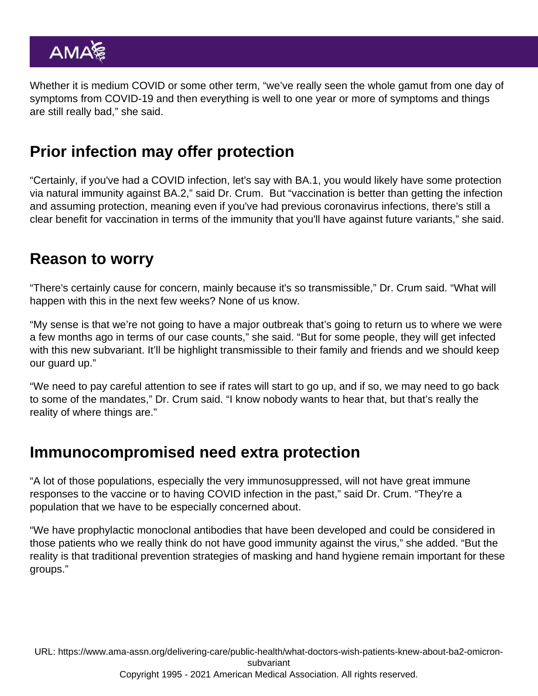Whether it is medium COVID or some other term, "we've really seen the whole gamut from one day of symptoms from COVID-19 and then everything is well to one year or more of symptoms and things are still really bad," she said.

## Prior infection may offer protection

"Certainly, if you've had a COVID infection, let's say with BA.1, you would likely have some protection via natural immunity against BA.2," said Dr. Crum. But "vaccination is better than getting the infection and assuming protection, meaning even if you've had previous coronavirus infections, there's still a clear benefit for vaccination in terms of the immunity that you'll have against future variants," she said.

#### Reason to worry

"There's certainly cause for concern, mainly because it's so transmissible," Dr. Crum said. "What will happen with this in the next few weeks? None of us know.

"My sense is that we're not going to have a major outbreak that's going to return us to where we were a few months ago in terms of our case counts," she said. "But for some people, they will get infected with this new subvariant. It'll be highlight transmissible to their family and friends and we should keep our guard up."

"We need to pay careful attention to see if rates will start to go up, and if so, we may need to go back to some of the mandates," Dr. Crum said. "I know nobody wants to hear that, but that's really the reality of where things are."

#### Immunocompromised need extra protection

"A lot of those populations, especially the very immunosuppressed, will not have great immune responses to the vaccine or to having COVID infection in the past," said Dr. Crum. "They're a population that we have to be especially concerned about.

"We have prophylactic monoclonal antibodies that have been developed and could be considered in those patients who we really think do not have good immunity against the virus," she added. "But the reality is that traditional prevention strategies of masking and hand hygiene remain important for these groups."